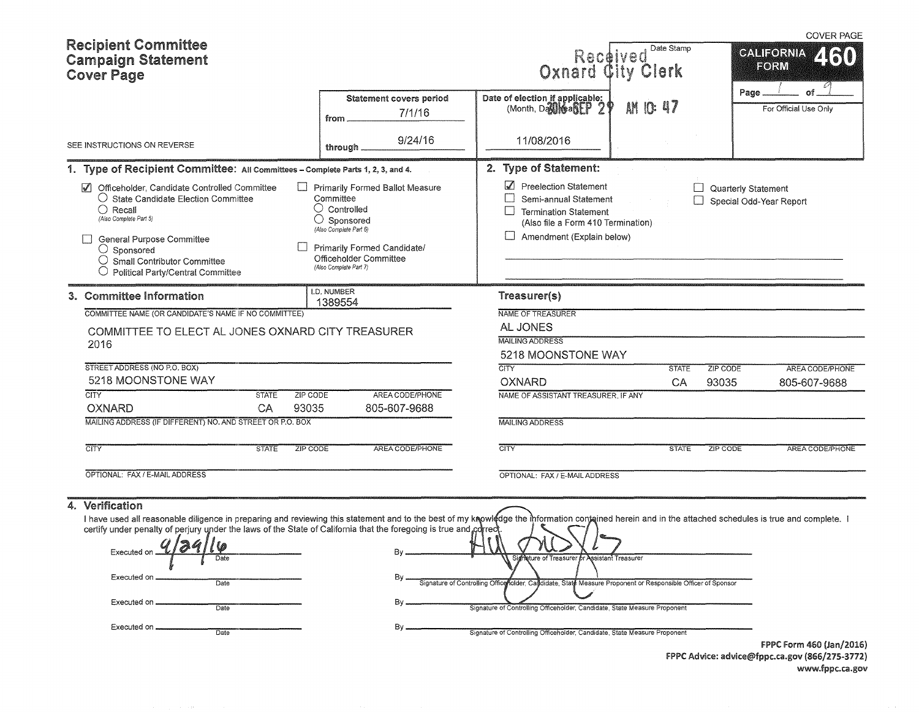| <b>Recipient Committee</b><br><b>Campaign Statement</b><br><b>Cover Page</b>                                                                                                                                                                                                                                                                                                                                             |                                                                                                                                                                                                            | Received Final<br>Oxnard City Clerk                                                                                                                                 | Date Stamp   |                                                | <b>COVER PAGE</b><br><b>CALIFORNIA</b><br>FORM<br>Ø |
|--------------------------------------------------------------------------------------------------------------------------------------------------------------------------------------------------------------------------------------------------------------------------------------------------------------------------------------------------------------------------------------------------------------------------|------------------------------------------------------------------------------------------------------------------------------------------------------------------------------------------------------------|---------------------------------------------------------------------------------------------------------------------------------------------------------------------|--------------|------------------------------------------------|-----------------------------------------------------|
|                                                                                                                                                                                                                                                                                                                                                                                                                          | <b>Statement covers period</b><br>7/1/16<br>from.                                                                                                                                                          | Date of election if applicable:<br>(Month, Dallie allege 2                                                                                                          | AM 10: 47    | Page.                                          | of<br>For Official Use Only                         |
| SEE INSTRUCTIONS ON REVERSE                                                                                                                                                                                                                                                                                                                                                                                              | 9/24/16<br>through.                                                                                                                                                                                        | 11/08/2016                                                                                                                                                          |              |                                                |                                                     |
| 1. Type of Recipient Committee: All Committees - Complete Parts 1, 2, 3, and 4.                                                                                                                                                                                                                                                                                                                                          |                                                                                                                                                                                                            | 2. Type of Statement:                                                                                                                                               |              |                                                |                                                     |
| Officeholder, Candidate Controlled Committee<br>$\sqrt{ }$<br>$\bigcirc$ State Candidate Election Committee<br>$\bigcirc$ Recall<br>(Also Complete Part 5)<br><b>General Purpose Committee</b><br>$\bigcirc$ Sponsored<br>$\bigcirc$ Small Contributor Committee<br>Political Party/Central Committee                                                                                                                    | Primarily Formed Ballot Measure<br>Committee<br>$\bigcirc$ Controlled<br>$\bigcirc$ Sponsored<br>(Also Complete Part 6)<br>Primarily Formed Candidate/<br>Officeholder Committee<br>(Also Complete Part 7) | Preelection Statement<br>Semi-annual Statement<br><b>Termination Statement</b><br>$\perp$<br>(Also file a Form 410 Termination)<br>$\Box$ Amendment (Explain below) |              | Quarterly Statement<br>Special Odd-Year Report |                                                     |
| 3. Committee Information                                                                                                                                                                                                                                                                                                                                                                                                 | I.D. NUMBER<br>1389554                                                                                                                                                                                     | Treasurer(s)                                                                                                                                                        |              |                                                |                                                     |
| COMMITTEE NAME (OR CANDIDATE'S NAME IF NO COMMITTEE)<br>COMMITTEE TO ELECT AL JONES OXNARD CITY TREASURER<br>2016                                                                                                                                                                                                                                                                                                        |                                                                                                                                                                                                            | NAME OF TREASURER<br>AL JONES<br><b>MAILING ADDRESS</b><br>5218 MOONSTONE WAY                                                                                       |              |                                                |                                                     |
| STREET ADDRESS (NO P.O. BOX)                                                                                                                                                                                                                                                                                                                                                                                             |                                                                                                                                                                                                            | <b>CITY</b>                                                                                                                                                         | <b>STATE</b> | <b>ZIP CODE</b>                                | AREA CODE/PHONE                                     |
| 5218 MOONSTONE WAY                                                                                                                                                                                                                                                                                                                                                                                                       |                                                                                                                                                                                                            | <b>OXNARD</b>                                                                                                                                                       | CA           | 93035                                          | 805-607-9688                                        |
| <b>CITY</b><br>ZIP CODE<br><b>STATE</b><br>93035<br>OXNARD<br>CA                                                                                                                                                                                                                                                                                                                                                         | AREA CODE/PHONE<br>805-607-9688                                                                                                                                                                            | NAME OF ASSISTANT TREASURER, IF ANY                                                                                                                                 |              |                                                |                                                     |
| MAILING ADDRESS (IF DIFFERENT) NO. AND STREET OR P.O. BOX                                                                                                                                                                                                                                                                                                                                                                |                                                                                                                                                                                                            | <b>MAILING ADDRESS</b>                                                                                                                                              |              |                                                |                                                     |
| <b>CITY</b><br><b>STATE</b><br>ZIP CODE                                                                                                                                                                                                                                                                                                                                                                                  | AREA CODE/PHONE                                                                                                                                                                                            | CITY                                                                                                                                                                | <b>STATE</b> | ZIP CODE                                       | AREA CODE/PHONE                                     |
| OPTIONAL: FAX / E-MAIL ADDRESS                                                                                                                                                                                                                                                                                                                                                                                           |                                                                                                                                                                                                            | OPTIONAL: FAX / E-MAIL ADDRESS                                                                                                                                      |              |                                                |                                                     |
| 4. Verification<br>I have used all reasonable diligence in preparing and reviewing this statement and to the best of my knowledge the information contained herein and in the attached schedules is true and complete. I<br>certify under penalty of perjury under the laws of the State of California that the foregoing is true and correct<br>4124116<br>Executed on _<br>Date<br>Executed on<br>Date<br>Executed on. | Bv                                                                                                                                                                                                         | Signature of Treasurer or Assistant Treasurer<br>Signature of Controlling Office holder, Candidate, State Measure Proponent or Responsible Officer of Sponsor       |              |                                                |                                                     |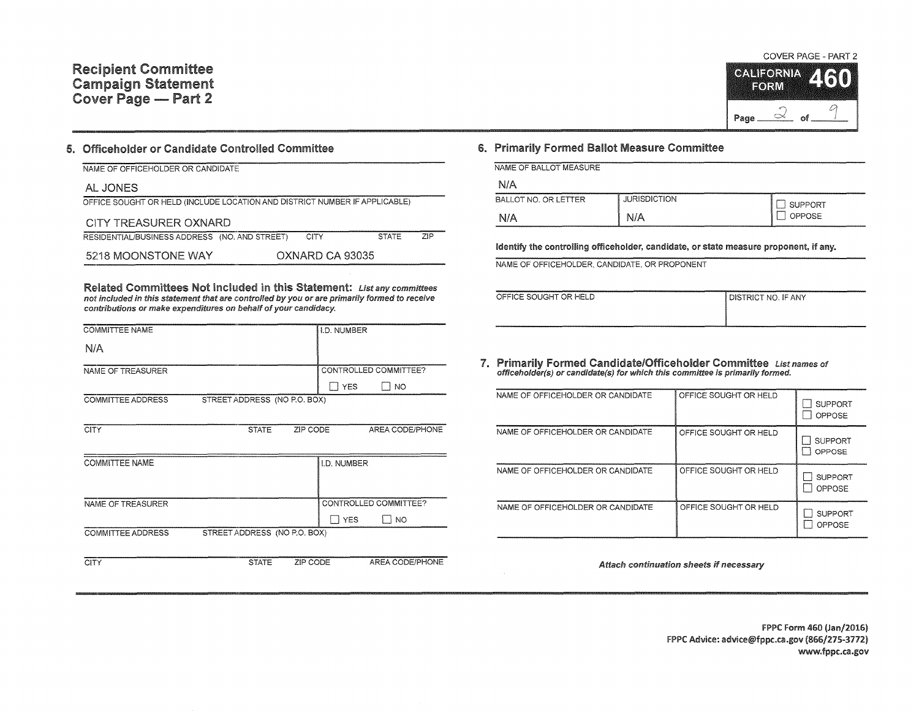

## 5. Officeholder or Candidate Controlled Committee

| NAME OF OFFICEHOLDER OR CANDIDATE                                          |                 |              |     |
|----------------------------------------------------------------------------|-----------------|--------------|-----|
| AL JONES                                                                   |                 |              |     |
| OFFICE SOUGHT OR HELD (INCLUDE LOCATION AND DISTRICT NUMBER IF APPLICABLE) |                 |              |     |
| CITY TREASURER OXNARD                                                      |                 |              |     |
| RESIDENTIAL/BUSINESS ADDRESS (NO. AND STREET)                              | CITY            | <b>STATE</b> | 7IP |
| 5218 MOONSTONE WAY                                                         | OXNARD CA 93035 |              |     |

Related Committees Not Included in this Statement: List any committees not included in this statement that are controlled by you or are primarily formed to receive contributions or make expenditures on behalf of your candidacy.

| <b>COMMITTEE ADDRESS</b> | STREET ADDRESS (NO P.O. BOX) |          | $\sqsupset$ YES | NO                    |
|--------------------------|------------------------------|----------|-----------------|-----------------------|
| NAME OF TREASURER        |                              |          |                 | CONTROLLED COMMITTEE? |
| <b>COMMITTEE NAME</b>    |                              |          | I.D. NUMBER     |                       |
| <b>CITY</b>              | <b>STATE</b>                 | ZIP CODE |                 | AREA CODE/PHONE       |
| <b>COMMITTEE ADDRESS</b> | STREET ADDRESS (NO P.O. BOX) |          |                 |                       |
|                          |                              |          | YES             | $\Box$ No             |
| NAME OF TREASURER        |                              |          |                 | CONTROLLED COMMITTEE? |
| N/A                      |                              |          |                 |                       |
| <b>COMMITTEE NAME</b>    |                              |          | I.D. NUMBER     |                       |

## 6. Primarily Formed Ballot Measure Committee

| NAME OF BALLOT MEASURE |  |  |  |
|------------------------|--|--|--|

| BALLOT NO. OR LETTER | RISDICTION<br>JURIS | JPPORT                                                                                                                         |
|----------------------|---------------------|--------------------------------------------------------------------------------------------------------------------------------|
| N/A                  |                     | OSE<br>ישני<br>the contract of the contract of the contract of the contract of the contract of the contract of the contract of |

Identify the controlling officeholder, candidate, or state measure proponent, if any.

NAME OF OFFICEHOLDER, CANDIDATE, OR PROPONENT

| OFFICE SOUGHT OR HELD | I DISTRICT NO. IF ANY |
|-----------------------|-----------------------|
|                       |                       |
|                       |                       |

7. Primarily Formed Candidate/Officeholder Committee List names of officeholder(s) or candidate(s) for which this committee is primarily formed.

| NAME OF OFFICEHOLDER OR CANDIDATE | OFFICE SOUGHT OR HELD | <b>SUPPORT</b><br>OPPOSE |
|-----------------------------------|-----------------------|--------------------------|
| NAME OF OFFICEHOLDER OR CANDIDATE | OFFICE SOUGHT OR HELD | <b>SUPPORT</b><br>OPPOSE |
| NAME OF OFFICEHOLDER OR CANDIDATE | OFFICE SOUGHT OR HELD | <b>SUPPORT</b><br>OPPOSE |
| NAME OF OFFICEHOLDER OR CANDIDATE | OFFICE SOUGHT OR HELD | <b>SUPPORT</b><br>OPPOSE |

Attach continuation sheets if necessary

FPPC Form 460 (Jan/2016) FPPC Advice: advice@fppc.ca.gov (866/275-3772) www.fppc.ca.gov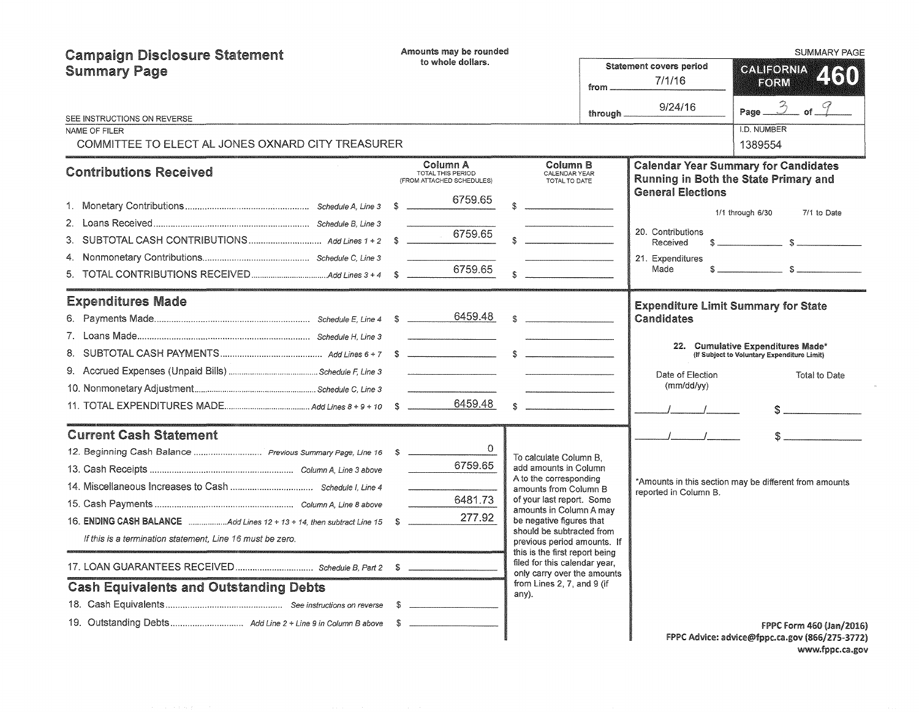| <b>Campaign Disclosure Statement</b>                                     |                               | Amounts may be rounded                                                                                                                                                                                                                                                                                                                                                                                                                                               |  |                                                                                            |           |                                            | SUMMARY PAGE                                                                         |
|--------------------------------------------------------------------------|-------------------------------|----------------------------------------------------------------------------------------------------------------------------------------------------------------------------------------------------------------------------------------------------------------------------------------------------------------------------------------------------------------------------------------------------------------------------------------------------------------------|--|--------------------------------------------------------------------------------------------|-----------|--------------------------------------------|--------------------------------------------------------------------------------------|
| <b>Summary Page</b>                                                      | to whole dollars.<br>from $-$ |                                                                                                                                                                                                                                                                                                                                                                                                                                                                      |  |                                                                                            |           | <b>Statement covers period</b><br>7/1/16   | CALIFORNIA<br>460<br>FORM                                                            |
| SEE INSTRUCTIONS ON REVERSE                                              |                               |                                                                                                                                                                                                                                                                                                                                                                                                                                                                      |  |                                                                                            | through _ | 9/24/16                                    | 3<br>Page __                                                                         |
| NAME OF FILER                                                            |                               |                                                                                                                                                                                                                                                                                                                                                                                                                                                                      |  |                                                                                            |           |                                            | I.D. NUMBER                                                                          |
| COMMITTEE TO ELECT AL JONES OXNARD CITY TREASURER                        |                               |                                                                                                                                                                                                                                                                                                                                                                                                                                                                      |  |                                                                                            |           |                                            | 1389554                                                                              |
| <b>Contributions Received</b>                                            |                               | Column A<br>TOTAL THIS PERIOD<br>(FROM ATTACHED SCHEDULES)                                                                                                                                                                                                                                                                                                                                                                                                           |  | Column B<br>CALENDAR YEAR<br>TOTAL TO DATE                                                 |           |                                            | <b>Calendar Year Summary for Candidates</b><br>Running in Both the State Primary and |
|                                                                          |                               | 6759.65                                                                                                                                                                                                                                                                                                                                                                                                                                                              |  |                                                                                            |           | <b>General Elections</b>                   |                                                                                      |
|                                                                          |                               |                                                                                                                                                                                                                                                                                                                                                                                                                                                                      |  |                                                                                            |           |                                            | 1/1 through 6/30<br>7/1 to Date                                                      |
| 3.                                                                       |                               | 6759.65                                                                                                                                                                                                                                                                                                                                                                                                                                                              |  |                                                                                            |           | 20. Contributions<br>Received              |                                                                                      |
|                                                                          |                               |                                                                                                                                                                                                                                                                                                                                                                                                                                                                      |  |                                                                                            |           | 21. Expenditures                           |                                                                                      |
|                                                                          |                               | 6759.65                                                                                                                                                                                                                                                                                                                                                                                                                                                              |  |                                                                                            |           | Made                                       | $s$ $s$                                                                              |
| <b>Expenditures Made</b>                                                 |                               |                                                                                                                                                                                                                                                                                                                                                                                                                                                                      |  |                                                                                            |           | <b>Expenditure Limit Summary for State</b> |                                                                                      |
|                                                                          |                               |                                                                                                                                                                                                                                                                                                                                                                                                                                                                      |  | $\mathbb{S}$                                                                               |           | Candidates                                 |                                                                                      |
|                                                                          |                               |                                                                                                                                                                                                                                                                                                                                                                                                                                                                      |  |                                                                                            |           |                                            |                                                                                      |
|                                                                          |                               |                                                                                                                                                                                                                                                                                                                                                                                                                                                                      |  |                                                                                            |           |                                            | 22. Cumulative Expenditures Made*<br>(If Subject to Voluntary Expenditure Limit)     |
|                                                                          |                               |                                                                                                                                                                                                                                                                                                                                                                                                                                                                      |  |                                                                                            |           | Date of Election                           | Total to Date                                                                        |
|                                                                          |                               | $\label{eq:1} \begin{array}{lll} \text{minimize} & \text{if} & \text{if} & \text{if} & \text{if} & \text{if} \\ \text{if} & \text{if} & \text{if} & \text{if} & \text{if} & \text{if} \\ \text{if} & \text{if} & \text{if} & \text{if} & \text{if} & \text{if} \\ \text{if} & \text{if} & \text{if} & \text{if} & \text{if} & \text{if} \\ \text{if} & \text{if} & \text{if} & \text{if} & \text{if} & \text{if} \\ \text{if} & \text{if} & \text{if} & \text{if} &$ |  |                                                                                            |           | (mm/dd/yy)                                 |                                                                                      |
|                                                                          |                               |                                                                                                                                                                                                                                                                                                                                                                                                                                                                      |  | $\mathcal{R}$                                                                              |           |                                            | $\sim$                                                                               |
| <b>Current Cash Statement</b>                                            |                               |                                                                                                                                                                                                                                                                                                                                                                                                                                                                      |  |                                                                                            |           |                                            |                                                                                      |
| 12. Beginning Cash Balance  Previous Summary Page, Line 16 \$            |                               |                                                                                                                                                                                                                                                                                                                                                                                                                                                                      |  | To calculate Column B,                                                                     |           |                                            |                                                                                      |
|                                                                          |                               | 6759.65                                                                                                                                                                                                                                                                                                                                                                                                                                                              |  | add amounts in Column                                                                      |           |                                            |                                                                                      |
|                                                                          |                               |                                                                                                                                                                                                                                                                                                                                                                                                                                                                      |  | A to the corresponding<br>amounts from Column B                                            |           | reported in Column B.                      | *Amounts in this section may be different from amounts                               |
|                                                                          |                               | 6481.73                                                                                                                                                                                                                                                                                                                                                                                                                                                              |  | of your last report. Some<br>amounts in Column A may                                       |           |                                            |                                                                                      |
| 16. ENDING CASH BALANCE Add Lines 12 + 13 + 14, then subtract Line 15 \$ |                               | 277.92                                                                                                                                                                                                                                                                                                                                                                                                                                                               |  | be negative figures that                                                                   |           |                                            |                                                                                      |
| If this is a termination statement, Line 16 must be zero.                |                               |                                                                                                                                                                                                                                                                                                                                                                                                                                                                      |  | should be subtracted from<br>previous period amounts. If<br>this is the first report being |           |                                            |                                                                                      |
|                                                                          |                               |                                                                                                                                                                                                                                                                                                                                                                                                                                                                      |  | filed for this calendar year,<br>only carry over the amounts                               |           |                                            |                                                                                      |
| <b>Cash Equivalents and Outstanding Debts</b>                            |                               |                                                                                                                                                                                                                                                                                                                                                                                                                                                                      |  | from Lines 2, 7, and 9 (if<br>any).                                                        |           |                                            |                                                                                      |
|                                                                          |                               |                                                                                                                                                                                                                                                                                                                                                                                                                                                                      |  |                                                                                            |           |                                            |                                                                                      |
|                                                                          |                               |                                                                                                                                                                                                                                                                                                                                                                                                                                                                      |  |                                                                                            |           |                                            | <b>FPPC Form 460 (Jan/2016)</b><br>FPPC Advice: advice@fppc.ca.gov (866/275-3772)    |

www.fppc.ca.gov

 $\sim$   $\mu$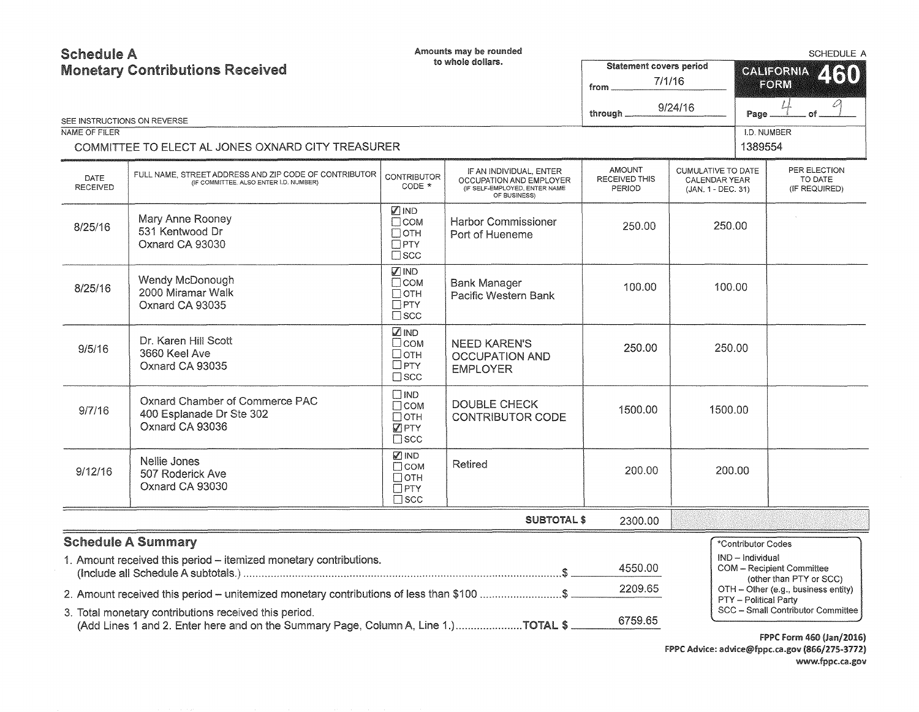| <b>Schedule A</b><br><b>Monetary Contributions Received</b> |                                                                                                                                             |                                                                            | Amounts may be rounded<br>to whole dollars.                                                         | <b>Statement covers period</b><br>from   | 7/1/16                                                           | SCHEDULE A<br><b>CALIFORNIA</b><br>260<br>FORM |                                                                      |
|-------------------------------------------------------------|---------------------------------------------------------------------------------------------------------------------------------------------|----------------------------------------------------------------------------|-----------------------------------------------------------------------------------------------------|------------------------------------------|------------------------------------------------------------------|------------------------------------------------|----------------------------------------------------------------------|
|                                                             | SEE INSTRUCTIONS ON REVERSE                                                                                                                 |                                                                            |                                                                                                     | through.                                 | 9/24/16                                                          | Page.                                          |                                                                      |
| <b>NAME OF FILER</b>                                        |                                                                                                                                             |                                                                            |                                                                                                     |                                          |                                                                  | I.D. NUMBER                                    |                                                                      |
|                                                             | COMMITTEE TO ELECT AL JONES OXNARD CITY TREASURER                                                                                           |                                                                            |                                                                                                     |                                          |                                                                  | 1389554                                        |                                                                      |
| DATE<br><b>RECEIVED</b>                                     | FULL NAME, STREET ADDRESS AND ZIP CODE OF CONTRIBUTOR<br>(IF COMMITTEE, ALSO ENTER I.D. NUMBER)                                             | <b>CONTRIBUTOR</b><br>CODE *                                               | IF AN INDIVIDUAL, ENTER<br>OCCUPATION AND EMPLOYER<br>(IF SELF-EMPLOYED, ENTER NAME<br>OF BUSINESS) | <b>AMOUNT</b><br>RECEIVED THIS<br>PERIOD | <b>CUMULATIVE TO DATE</b><br>CALENDAR YEAR<br>(JAN. 1 - DEC. 31) |                                                | PER ELECTION<br>TO DATE<br>(IF REQUIRED)                             |
| 8/25/16                                                     | Mary Anne Rooney<br>531 Kentwood Dr<br>Oxnard CA 93030                                                                                      | <b>MIND</b><br>$\Box$ COM<br>$\Box$ OTH<br>$\square$ PTY<br>$\square$ SCC  | <b>Harbor Commissioner</b><br>Port of Hueneme                                                       | 250.00                                   | 250.00                                                           |                                                |                                                                      |
| 8/25/16                                                     | Wendy McDonough<br>2000 Miramar Walk<br>Oxnard CA 93035                                                                                     | $\n  IND\n$<br>$\Box$ COM<br>Потн<br>$\Box$ PTY<br>$\square$ scc           | <b>Bank Manager</b><br>Pacific Western Bank                                                         | 100.00                                   | 100.00                                                           |                                                |                                                                      |
| 9/5/16                                                      | Dr. Karen Hill Scott<br>3660 Keel Ave<br>Oxnard CA 93035                                                                                    | <b>ZIND</b><br>$\Box$ COM<br>□отн<br>$\square$ PTY<br>$\square$ scc        | <b>NEED KAREN'S</b><br><b>OCCUPATION AND</b><br><b>EMPLOYER</b>                                     | 250.00                                   | 250.00                                                           |                                                |                                                                      |
| 9/7/16                                                      | Oxnard Chamber of Commerce PAC<br>400 Esplanade Dr Ste 302<br>Oxnard CA 93036                                                               | $\square$ IND<br>$\Box$ COM<br>$\Box$ OTH<br><b>Z</b> PTY<br>$\square$ scc | <b>DOUBLE CHECK</b><br><b>CONTRIBUTOR CODE</b>                                                      | 1500.00                                  | 1500.00                                                          |                                                |                                                                      |
| 9/12/16                                                     | Nellie Jones<br>507 Roderick Ave<br>Oxnard CA 93030                                                                                         | <b>Ø</b> IND<br>$\Box$ COM<br>Потн<br>$\Box$ PTY<br>$\square$ scc          | Retired                                                                                             | 200.00                                   | 200.00                                                           |                                                |                                                                      |
|                                                             |                                                                                                                                             |                                                                            | <b>SUBTOTAL \$</b>                                                                                  | 2300.00                                  |                                                                  |                                                |                                                                      |
|                                                             | <b>Schedule A Summary</b>                                                                                                                   |                                                                            |                                                                                                     |                                          |                                                                  | *Contributor Codes                             |                                                                      |
|                                                             | 1. Amount received this period - itemized monetary contributions.                                                                           |                                                                            |                                                                                                     | 4550.00                                  |                                                                  | IND - Individual                               | COM - Recipient Committee<br>(other than PTY or SCC)                 |
|                                                             | 2. Amount received this period - unitemized monetary contributions of less than \$100 \$                                                    |                                                                            |                                                                                                     | 2209.65                                  |                                                                  | <b>PTY</b> - Political Party                   | OTH - Other (e.g., business entity)                                  |
|                                                             | 3. Total monetary contributions received this period.<br>(Add Lines 1 and 2. Enter here and on the Summary Page, Column A, Line 1.)TOTAL \$ |                                                                            |                                                                                                     | 6759.65                                  |                                                                  |                                                | SCC - Small Contributor Committee<br><b>FPPC Form 460 (Jan/2016)</b> |

FPPC Advice: advice@fppc.ca.gov (866/275-3772) www.fppc.ca.gov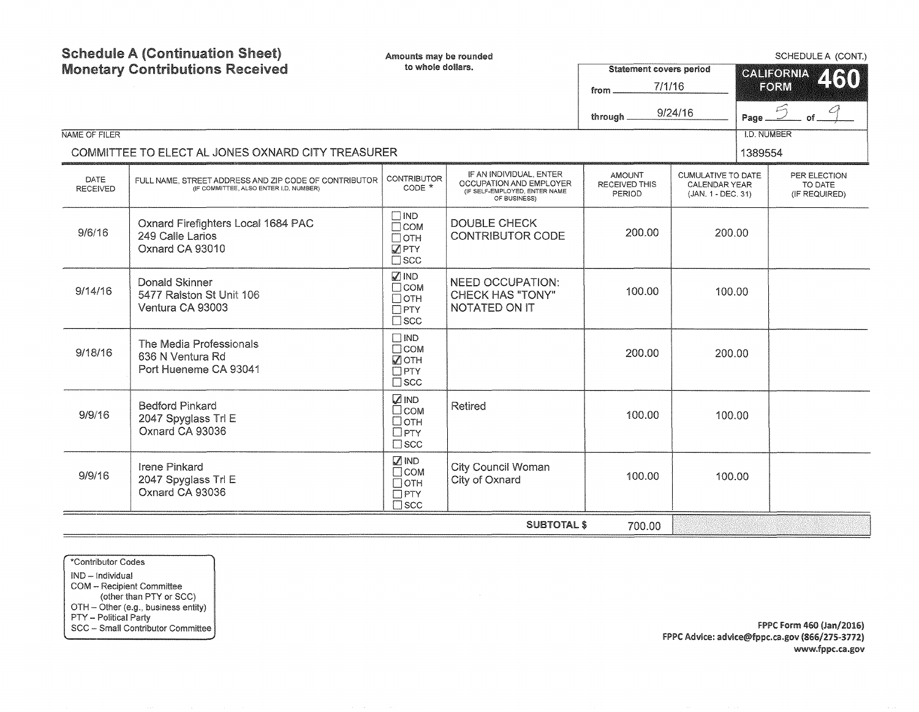| <b>Schedule A (Continuation Sheet)</b><br>Amounts may be rounded<br><b>Monetary Contributions Received</b><br>to whole dollars.<br>NAME OF FILER |                                                                                                 |                                                                           | <b>Statement covers period</b><br>7/1/16<br>from<br>through _                                       | 9/24/16                                         | Page<br><b>I.D. NUMBER</b>                                              | SCHEDULE A (CONT.)<br><b>GALIFORNIA</b><br>460<br>FORM |                                          |
|--------------------------------------------------------------------------------------------------------------------------------------------------|-------------------------------------------------------------------------------------------------|---------------------------------------------------------------------------|-----------------------------------------------------------------------------------------------------|-------------------------------------------------|-------------------------------------------------------------------------|--------------------------------------------------------|------------------------------------------|
|                                                                                                                                                  | COMMITTEE TO ELECT AL JONES OXNARD CITY TREASURER                                               |                                                                           |                                                                                                     |                                                 |                                                                         | 1389554                                                |                                          |
| <b>DATE</b><br><b>RECEIVED</b>                                                                                                                   | FULL NAME, STREET ADDRESS AND ZIP CODE OF CONTRIBUTOR<br>(IF COMMITTEE, ALSO ENTER I.D. NUMBER) | <b>CONTRIBUTOR</b><br>CODE *                                              | IF AN INDIVIDUAL, ENTER<br>OCCUPATION AND EMPLOYER<br>(IF SELF-EMPLOYED, ENTER NAME<br>OF BUSINESS) | <b>AMOUNT</b><br><b>RECEIVED THIS</b><br>PERIOD | <b>CUMULATIVE TO DATE</b><br><b>CALENDAR YEAR</b><br>(JAN. 1 - DEC. 31) |                                                        | PER ELECTION<br>TO DATE<br>(IF REQUIRED) |
| 9/6/16                                                                                                                                           | Oxnard Firefighters Local 1684 PAC<br>249 Calle Larios<br>Oxnard CA 93010                       | $\square$ IND<br>$\Box$ COM<br>$\Box$ OTH<br><b>JPTY</b><br>$\square$ scc | <b>DOUBLE CHECK</b><br><b>CONTRIBUTOR CODE</b>                                                      | 200.00                                          | 200.00                                                                  |                                                        |                                          |
| 9/14/16                                                                                                                                          | Donald Skinner<br>5477 Ralston St Unit 106<br>Ventura CA 93003                                  | <b>√</b> IND<br>$\Box$ COM<br>$\Box$ OTH<br>$\Box$ PTY<br>$\square$ scc   | <b>NEED OCCUPATION:</b><br><b>CHECK HAS "TONY"</b><br><b>NOTATED ON IT</b>                          | 100.00                                          | 100.00                                                                  |                                                        |                                          |
| 9/18/16                                                                                                                                          | The Media Professionals<br>636 N Ventura Rd<br>Port Hueneme CA 93041                            | $\Box$ IND<br>$\Box$ COM<br>$\sqrt{ }$ OTH<br>$\Box$ PTY<br>$\square$ scc |                                                                                                     | 200.00                                          | 200.00                                                                  |                                                        |                                          |
| 9/9/16                                                                                                                                           | <b>Bedford Pinkard</b><br>2047 Spyglass Trl E<br>Oxnard CA 93036                                | <b>ZIND</b><br>$\Box$ COM<br>□отн<br>$\Box$ PTY<br>$\square$ scc          | <b>Retired</b>                                                                                      | 100.00                                          | 100.00                                                                  |                                                        |                                          |
| 9/9/16                                                                                                                                           | <b>Irene Pinkard</b><br>2047 Spyglass Trl E<br>Oxnard CA 93036                                  | $\sqrt{ }$ IND<br>$\Box$ COM<br>$\Box$ OTH<br>$\Box$ PTY<br>$\square$ scc | <b>City Council Woman</b><br>City of Oxnard                                                         | 100.00                                          | 100.00                                                                  |                                                        |                                          |
|                                                                                                                                                  |                                                                                                 |                                                                           | <b>SUBTOTAL \$</b>                                                                                  | 700.00                                          |                                                                         |                                                        |                                          |

\*Contributor Codes IND - Individual COM - Recipient Committee (other than PTY or SCC) OTH - Other (e.g., business entity) PTY - Political Party SCC - Small Contributor Committee

FPPC Form 460 {Jan/2016) FPPC Advice: advice@fppc.ca.gov {866/275-3772) www.fppc.ca.gov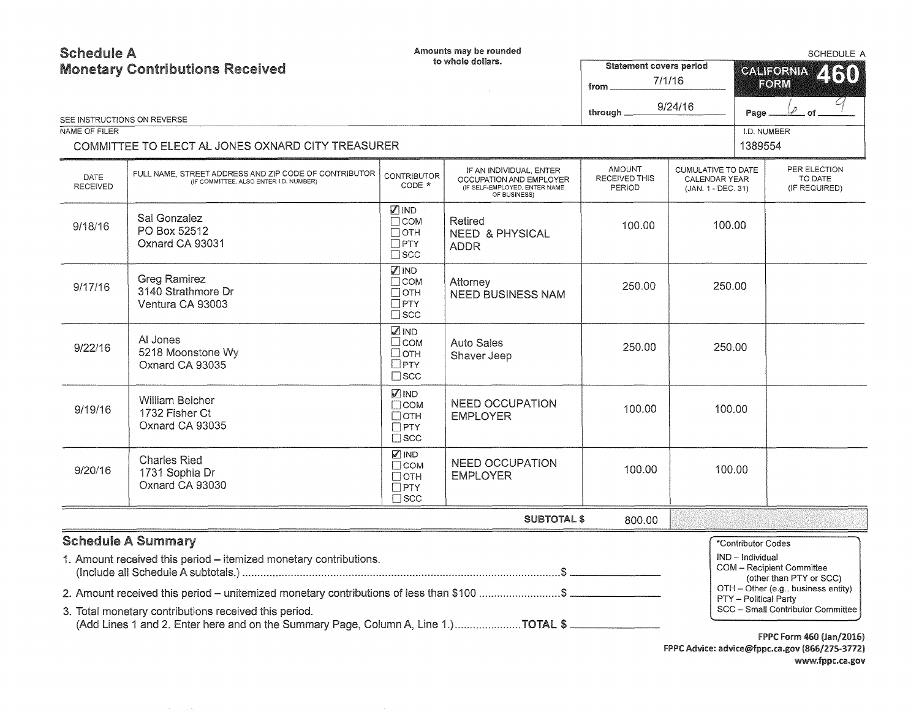| <b>Schedule A</b><br><b>Monetary Contributions Received</b> |                                                                                                                                                                                                                                                     |                                                                         | Amounts may be rounded<br>to whole dollars.                                                         | from $\equiv$                            | <b>Statement covers period</b><br>7/1/16                         |                                                                 | SCHEDULE A<br><b>CALIFORNIA</b><br>2130<br>FORM                                                                                         |  |
|-------------------------------------------------------------|-----------------------------------------------------------------------------------------------------------------------------------------------------------------------------------------------------------------------------------------------------|-------------------------------------------------------------------------|-----------------------------------------------------------------------------------------------------|------------------------------------------|------------------------------------------------------------------|-----------------------------------------------------------------|-----------------------------------------------------------------------------------------------------------------------------------------|--|
|                                                             | SEE INSTRUCTIONS ON REVERSE                                                                                                                                                                                                                         |                                                                         |                                                                                                     | through _                                | 9/24/16                                                          | Page                                                            | Lo                                                                                                                                      |  |
| NAME OF FILER                                               |                                                                                                                                                                                                                                                     |                                                                         |                                                                                                     |                                          |                                                                  | I.D. NUMBER                                                     |                                                                                                                                         |  |
|                                                             | COMMITTEE TO ELECT AL JONES OXNARD CITY TREASURER                                                                                                                                                                                                   |                                                                         |                                                                                                     |                                          |                                                                  | 1389554                                                         |                                                                                                                                         |  |
| <b>DATE</b><br><b>RECEIVED</b>                              | FULL NAME. STREET ADDRESS AND ZIP CODE OF CONTRIBUTOR<br>(IF COMMITTEE, ALSO ENTER I.D. NUMBER)                                                                                                                                                     | <b>CONTRIBUTOR</b><br>CODE *                                            | IF AN INDIVIDUAL, ENTER<br>OCCUPATION AND EMPLOYER<br>(IF SELF-EMPLOYED, ENTER NAME<br>OF BUSINESS) | <b>AMOUNT</b><br>RECEIVED THIS<br>PERIOD | <b>CUMULATIVE TO DATE</b><br>CALENDAR YEAR<br>(JAN. 1 - DEC. 31) |                                                                 | PER ELECTION<br>TO DATE<br>(IF REQUIRED)                                                                                                |  |
| 9/18/16                                                     | Sal Gonzalez<br>PO Box 52512<br>Oxnard CA 93031                                                                                                                                                                                                     | Ø IND<br>$\Box$ COM<br>$\Box$ OTH<br>$\Box$ PTY<br>$\Box$ scc           | Retired<br><b>NEED &amp; PHYSICAL</b><br><b>ADDR</b>                                                | 100.00                                   | 100.00                                                           |                                                                 |                                                                                                                                         |  |
| 9/17/16                                                     | <b>Greg Ramirez</b><br>3140 Strathmore Dr<br>Ventura CA 93003                                                                                                                                                                                       | <b>Ø</b> IND<br>$\Box$ COM<br>$\Box$ OTH<br>$\Box$ PTY<br>$\square$ scc | Attorney<br><b>NEED BUSINESS NAM</b>                                                                | 250.00                                   | 250.00                                                           |                                                                 |                                                                                                                                         |  |
| 9/22/16                                                     | Al Jones<br>5218 Moonstone Wy<br>Oxnard CA 93035                                                                                                                                                                                                    | <b>⊠IND</b><br>□сом<br>□отн<br>$\square$ PTY<br>$\square$ scc           | <b>Auto Sales</b><br>Shaver Jeep                                                                    | 250.00                                   | 250,00                                                           |                                                                 |                                                                                                                                         |  |
| 9/19/16                                                     | <b>William Belcher</b><br>1732 Fisher Ct<br>Oxnard CA 93035                                                                                                                                                                                         | ☑ IND<br>$\Box$ COM<br>$\Box$ OTH<br>$\Box$ PTY<br>$\sqcap$ scc         | <b>NEED OCCUPATION</b><br><b>EMPLOYER</b>                                                           | 100.00                                   | 100.00                                                           |                                                                 |                                                                                                                                         |  |
| 9/20/16                                                     | <b>Charles Ried</b><br>1731 Sophia Dr<br>Oxnard CA 93030                                                                                                                                                                                            | <b>VIND</b><br>$\Box$ COM<br>$\Box$ OTH<br>$\Box$ PTY<br>$\Box$ scc     | <b>NEED OCCUPATION</b><br><b>EMPLOYER</b>                                                           | 100.00                                   | 100.00                                                           |                                                                 |                                                                                                                                         |  |
|                                                             |                                                                                                                                                                                                                                                     |                                                                         | <b>SUBTOTAL \$</b>                                                                                  | 800.00                                   |                                                                  |                                                                 |                                                                                                                                         |  |
|                                                             | <b>Schedule A Summary</b><br>1. Amount received this period - itemized monetary contributions.<br>2. Amount received this period – unitemized monetary contributions of less than \$100 \$<br>3. Total monetary contributions received this period. |                                                                         |                                                                                                     |                                          |                                                                  | *Contributor Codes<br>IND - Individual<br>PTY - Political Party | <b>COM</b> - Recipient Committee<br>(other than PTY or SCC)<br>OTH - Other (e.g., business entity)<br>SCC - Small Contributor Committee |  |
|                                                             |                                                                                                                                                                                                                                                     |                                                                         |                                                                                                     |                                          |                                                                  |                                                                 | <b>FPPC Form 460 (Jan/2016)</b>                                                                                                         |  |

FPPC Advice: advice@fppc.ca.gov (866/275-3772) www.fppc.ca.gov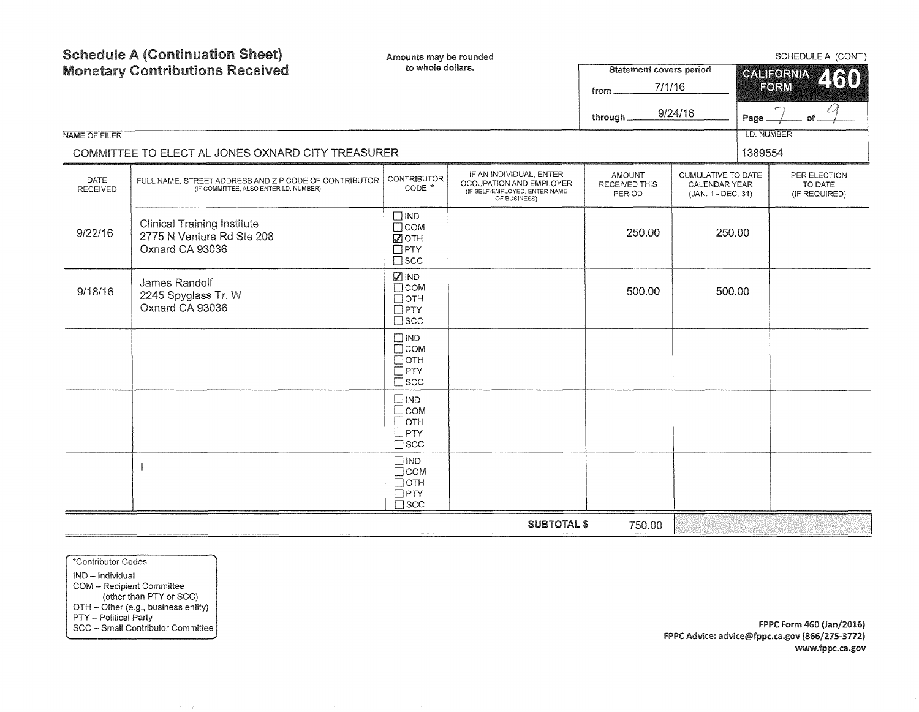| NAME OF FILER                                     | <b>Schedule A (Continuation Sheet)</b><br><b>Monetary Contributions Received</b>                | Amounts may be rounded<br>to whole dollars.                           |                                                                                                     | <b>Statement covers period</b><br>7/1/16<br>from<br>through | 9/24/16                                                          | Page<br><b>I.D. NUMBER</b> | SCHEDULE A (CONT.)<br><b>CALIFORNIA</b><br>2130<br>FORM |
|---------------------------------------------------|-------------------------------------------------------------------------------------------------|-----------------------------------------------------------------------|-----------------------------------------------------------------------------------------------------|-------------------------------------------------------------|------------------------------------------------------------------|----------------------------|---------------------------------------------------------|
| COMMITTEE TO ELECT AL JONES OXNARD CITY TREASURER |                                                                                                 |                                                                       |                                                                                                     |                                                             |                                                                  | 1389554                    |                                                         |
| DATE<br><b>RECEIVED</b>                           | FULL NAME. STREET ADDRESS AND ZIP CODE OF CONTRIBUTOR<br>(IF COMMITTEE, ALSO ENTER I.D. NUMBER) | <b>CONTRIBUTOR</b><br>CODE *                                          | IF AN INDIVIDUAL, ENTER<br>OCCUPATION AND EMPLOYER<br>(IF SELF-EMPLOYED, ENTER NAME<br>OF BUSINESS) | <b>AMOUNT</b><br><b>RECEIVED THIS</b><br>PERIOD             | <b>CUMULATIVE TO DATE</b><br>CALENDAR YEAR<br>(JAN. 1 - DEC. 31) |                            | PER ELECTION<br>TO DATE<br>(IF REQUIRED)                |
| 9/22/16                                           | <b>Clinical Training Institute</b><br>2775 N Ventura Rd Ste 208<br>Oxnard CA 93036              | $\Box$ IND<br>$\Box$ COM<br><b>OTH</b><br>$\Box$ PTY<br>$\square$ scc |                                                                                                     | 250.00                                                      | 250.00                                                           |                            |                                                         |
| 9/18/16                                           | James Randolf<br>2245 Spyglass Tr. W<br>Oxnard CA 93036                                         | MIND<br>$\Box$ COM<br>$\Box$ OTH<br>$\Box$ PTY<br>$\square$ SCC       |                                                                                                     | 500.00                                                      | 500.00                                                           |                            |                                                         |
|                                                   |                                                                                                 | $\Box$ IND<br>$\Box$ COM<br>$\Box$ OTH<br>$\Box$ PTY<br>$\square$ scc |                                                                                                     |                                                             |                                                                  |                            |                                                         |
|                                                   |                                                                                                 | $\square$ IND<br>$\Box$ COM<br>□отн<br>$\Box$ PTY<br>$\square$ scc    |                                                                                                     |                                                             |                                                                  |                            |                                                         |
|                                                   |                                                                                                 | $\Box$ IND<br>$\Box$ COM<br>$\Box$ OTH<br>$\Box$ PTY<br>$\square$ scc |                                                                                                     |                                                             |                                                                  |                            |                                                         |
|                                                   |                                                                                                 |                                                                       | <b>SUBTOTAL \$</b>                                                                                  | 750.00                                                      |                                                                  |                            |                                                         |

\*Contributor Codes IND - Individual COM - Recipient Committee (other than PTY or SCC) OTH - Other (e.g., business entity) PTY - Political Party SCC - Small Contributor Committee

FPPC Form 460 (Jan/2016) FPPC Advice: advice@fppc.ca.gov (866/275-3772) www.fppc.ca.gov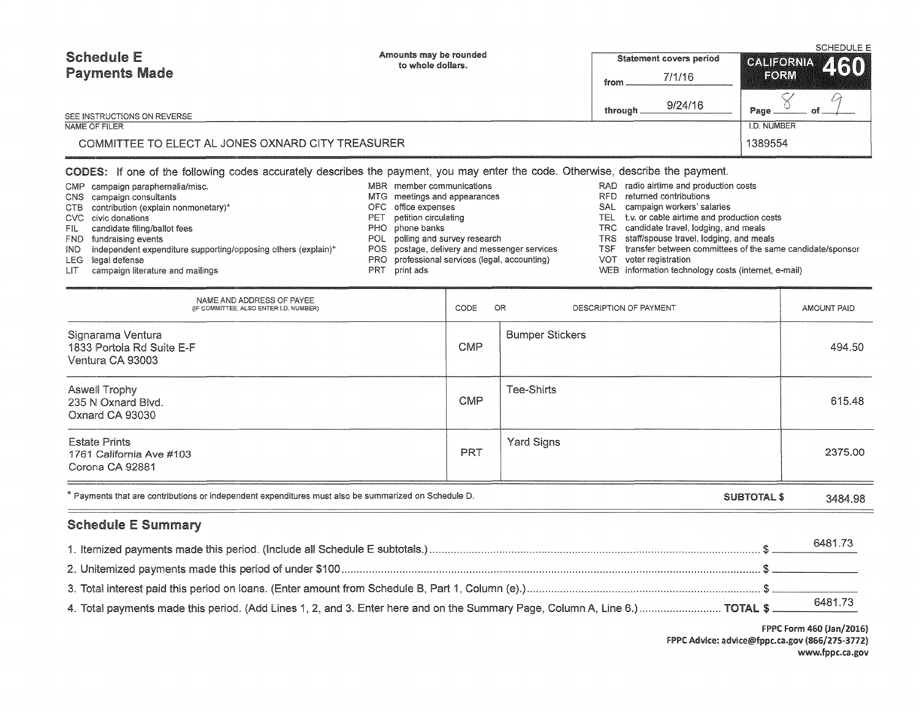| <b>Schedule E</b>                                 | Amounts may be rounded<br>to whole dollars. | <b>Statement covers period</b> | <b>SCHEDULE E</b><br>CALIFORNIA 460 |  |  |
|---------------------------------------------------|---------------------------------------------|--------------------------------|-------------------------------------|--|--|
| <b>Payments Made</b>                              |                                             | 7/1/16<br>from                 | FORM                                |  |  |
| SEE INSTRUCTIONS ON REVERSE                       |                                             | 9/24/16<br>through             | Page                                |  |  |
| NAME OF FILER                                     |                                             |                                | I.D. NUMBER                         |  |  |
| COMMITTEE TO ELECT AL JONES OXNARD CITY TREASURER |                                             |                                | 1389554                             |  |  |

## CODES: If one of the following codes accurately describes the payment, you may enter the code. Otherwise, describe the payment.

|      | CMP campaign paraphernalia/misc.                                  | MBR member communications                     |      | RAD radio airtime   |
|------|-------------------------------------------------------------------|-----------------------------------------------|------|---------------------|
|      | CNS campaign consultants                                          | MTG meetings and appearances                  | RFD. | returned con        |
|      | CTB contribution (explain nonmonetary)*                           | OFC office expenses                           | SAL  | campaign wo         |
|      | CVC civic donations                                               | PET petition circulating                      |      | TEL t.v. or cable a |
| FIL. | candidate filing/ballot fees                                      | PHO phone banks                               |      | TRC candidate tra   |
|      | FND fundraising events                                            | POL polling and survey research               |      | TRS staff/spouse    |
|      | IND independent expenditure supporting/opposing others (explain)* | POS postage, delivery and messenger services  | TSF. | transfer betw       |
|      | LEG legal defense                                                 | PRO professional services (legal, accounting) | VOT. | voter registra      |
| LIT. | campaign literature and mailings                                  | PRT print ads                                 |      | WEB information to  |

- and production costs
- ntributions
- orkers' salaries
- airtime and production costs
- avel, lodging, and meals
- travel, lodging, and meals
- Tation, traging, and the same candidate/sponsor
- ation
- technology costs (internet, e-mail)

| NAME AND ADDRESS OF PAYEE<br>(IF COMMITTEE, ALSO ENTER I.D. NUMBER)                                  | CODE       | OR.<br>DESCRIPTION OF PAYMENT | AMOUNT PAID |
|------------------------------------------------------------------------------------------------------|------------|-------------------------------|-------------|
| Signarama Ventura<br>1833 Portola Rd Suite E-F<br>Ventura CA 93003                                   | <b>CMP</b> | <b>Bumper Stickers</b>        | 494.50      |
| Aswell Trophy<br>235 N Oxnard Blvd.<br>Oxnard CA 93030                                               | <b>CMP</b> | Tee-Shirts                    | 615.48      |
| <b>Estate Prints</b><br>1761 California Ave #103<br>Corona CA 92881                                  | <b>PRT</b> | Yard Signs                    | 2375.00     |
| * Payments that are contributions or independent expenditures must also be summarized on Schedule D. |            | SUBTOTAL \$                   | 3484.98     |

## Schedule E Summary

|                                                                                                                                      | 6481.73 |
|--------------------------------------------------------------------------------------------------------------------------------------|---------|
|                                                                                                                                      |         |
|                                                                                                                                      |         |
| 4. Total payments made this period. (Add Lines 1, 2, and 3. Enter here and on the Summary Page, Column A, Line 6.)  TOTAL \$ 6481.73 |         |

FPPC Form 460 (Jan/2016) FPPC Advice: advice@fppc.ca.gov (866/275-3772) www.fppc.ca.gov